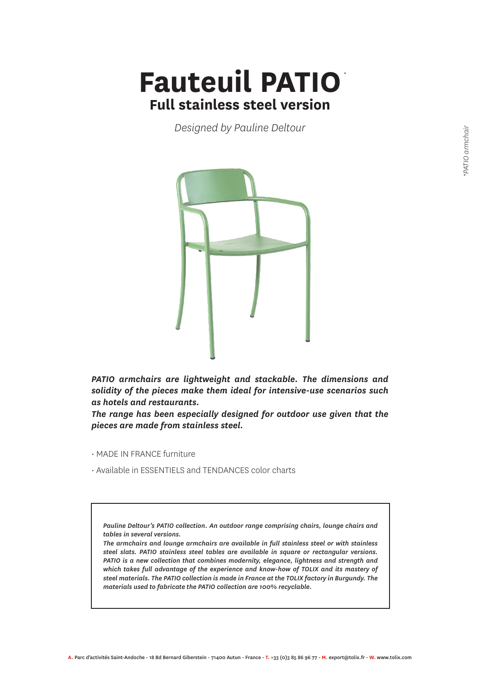## *\** **Fauteuil PATIO Full stainless steel version**

*Designed by Pauline Deltour*



*PATIO armchairs are lightweight and stackable. The dimensions and solidity of the pieces make them ideal for intensive-use scenarios such as hotels and restaurants.*

*The range has been especially designed for outdoor use given that the pieces are made from stainless steel.*

- MADE IN FRANCE furniture
- Available in ESSENTIELS and TENDANCES color charts

*Pauline Deltour's PATIO collection. An outdoor range comprising chairs, lounge chairs and tables in several versions.*

*The armchairs and lounge armchairs are available in full stainless steel or with stainless steel slats. PATIO stainless steel tables are available in square or rectangular versions. PATIO is a new collection that combines modernity, elegance, lightness and strength and which takes full advantage of the experience and know-how of TOLIX and its mastery of steel materials. The PATIO collection is made in France at the TOLIX factory in Burgundy. The materials used to fabricate the PATIO collection are 100% recyclable.*